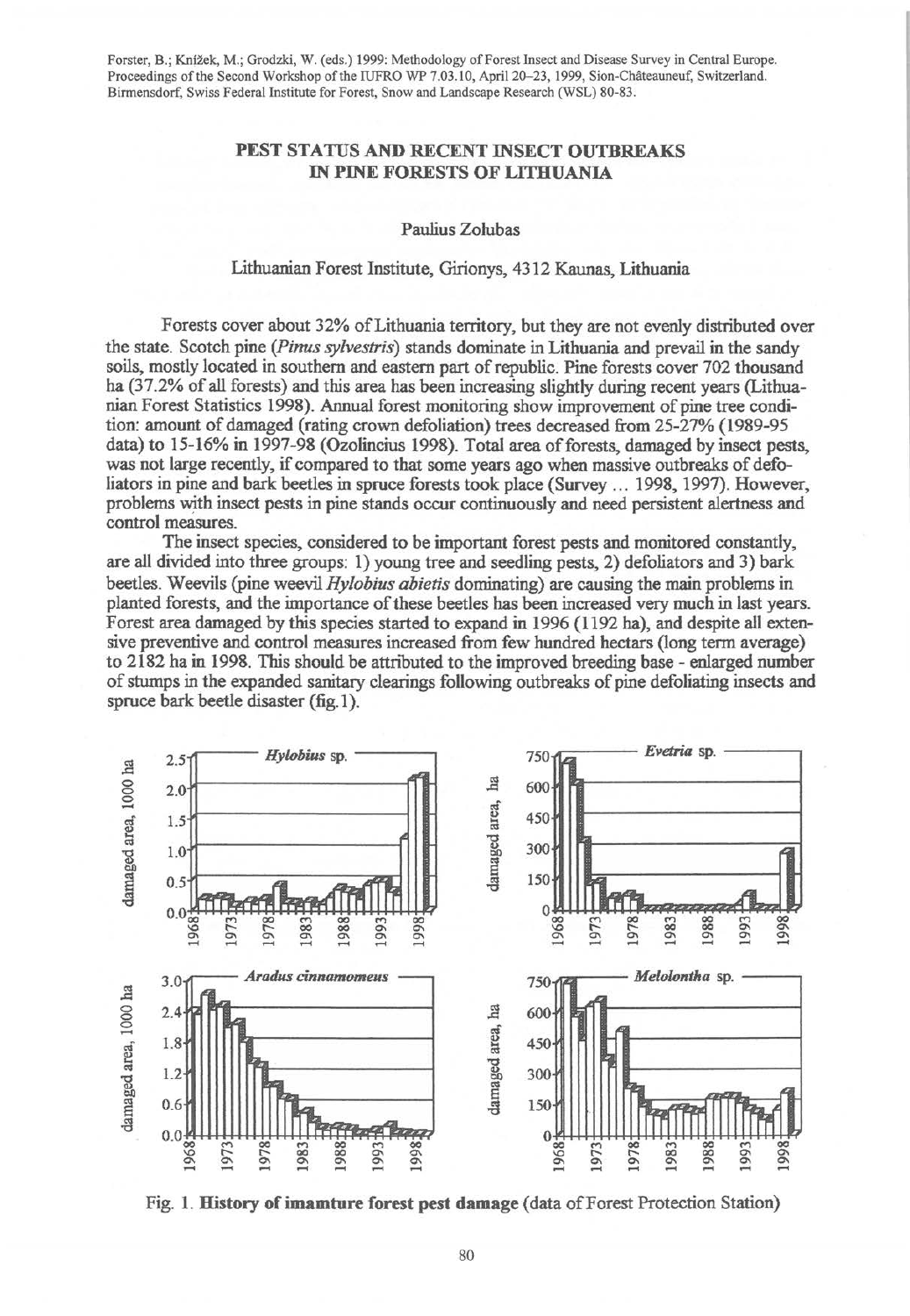Forster, B.; Knizek, M.; Grodzki, W. (eds.) 1999: Methodology of Forest Insect and Disease Survey in Central Europe. Proceedings of the Second Workshop of the IUFRO WP 7.03.10, April 20-23, 1999, Sion-Châteauneuf, Switzerland. Birrnensdorf, Swiss Federal Institute for Forest, Snow and Landscape Research (WSL) 80-83.

## PEST STATUS AND RECENT INSECT OUTBREAKS IN PINE FORESTS OF LITHUANIA

Paulius Zolubas

## Lithuanian Forest Institute, Girionys, 4312 Kaunas, Lithuania

Forests cover about 32% ofLithuania territory, but they are not evenly distributed over the state. Scotch pine *(Pinus sylvestris)* stands dominate in Lithuania and prevail in the sandy soils, mostly located in southern and eastern part of republic. Pine forests cover 702 thousand ha (37.2% of all forests) and this area has been increasing slightly during recent years (Lithuanian Forest Statistics 1998). Annual forest monitoring show improvement of pine tree condition: amount of damaged (rating crown defoliation) trees decreased from 25-27% (1989-95 data) to 15-16% in 1997-98 (Ozolincius 1998). Total area of forests, damaged by insect pests, was not large recently, if compared to that some years ago when massive outbreaks of defoliators in pine and bark beetles in spruce forests took place (Survey ... 1998, 1997). However, problems with insect pests in pine stands occur continuously and need persistent alertness and control measures.

The insect species, considered to be important forest pests and monitored constantly, are all divided into three groups: 1) young tree and seedling pests, 2) defoliators and 3) bark beetles. Weevils (pine weevil *Hylobius abietis* dominating) are causing the main problems in planted forests, and the importance of these beetles has been increased very much in last years. Forest area damaged by this species started to expand in 1996 (1192 ha), and despite all extensive preventive and control measures increased from few hundred hectars (long term average) to 2182 ha in 1998. This should be attnbuted to the improved breeding base - enlarged number of stumps in the expanded sanitary clearings following outbreaks of pine defoliating insects and spruce bark beetle disaster (fig.1).



Fig. 1. History of imamture forest pest damage (data of Forest Protection Station)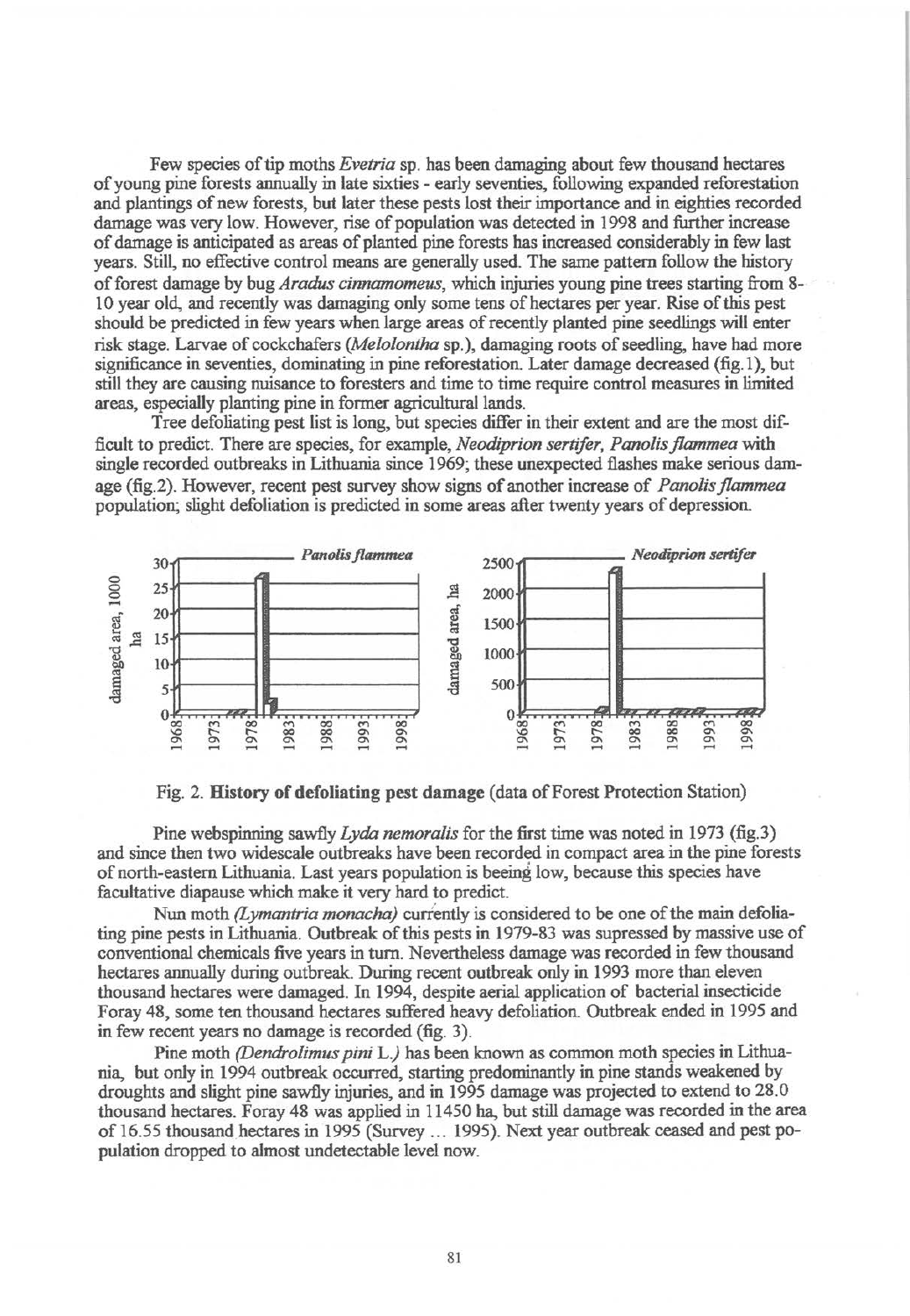Few species of tip moths *Evetria* sp. has been damaging about few thousand hectares of young pine forests annually in late sixties - early following expanded reforestation and plantings of new forests, but later these pests lost their importance and in eighties recorded damage was very low. However, rise of population was detected in 1998 and further increase of damage is anticipated as areas of planted pine forests has increased considerably in few last years. Still, no effective control means are generally used. The same pattern follow the history of forest damage by bug *Aradus cinnamomeus,* which injuries young pine trees starting from 8-· 10 year old, and recently was damaging only some tens of hectares per year. Rise of this pest should be predicted in few years when large areas of recently planted pine seedlings will enter risk stage. Larvae of cockchafers *(Melolontha* sp. ), damaging roots of seedling, have had more significance in seventies, dominating in pine reforestation. Later damage decreased (fig.1 ), but still they are causing nuisance to foresters and time to time require control measures in limited areas, especially planting pine in former agricultural lands.

Tree defoliating pest list is long, but species differ in their extent and are the most difficult to predict. There are species, for example, *Neodiprion sertifer, Panolis flammea* with single recorded outbreaks in Lithuania since 1969; these unexpected flashes make serious damage (fig.2). However, recent pest survey show signs of another increase of *Panolis flammea*  population; slight defoliation is predicted in some areas after twenty years of depression.



Fig. 2. History of defoliating pest damage (data of Forest Protection Station)

Pine webspinning sawfly *Lyda nemoralis* for the first time was noted in 1973 (fig.3) and since then two widescale outbreaks have been recorded in compact area in the pine forests of north-eastern Lithuania. Last years population is beeing low, because this species have facultative diapause which make it very hard to predict.

Nun moth *(Lymantria monacha)* currently is considered to be one of the main defoliating pine pests in Lithuania. Outbreak of this pests in 1979-83 was supressed by massive use of conventional chemicals five years in turn. Nevertheless damage was recorded in few thousand hectares annually during outbreak. During recent outbreak only in 1993 more than eleven thousand hectares were damaged. In 1994, despite aerial application of bacterial insecticide Foray 48, some ten thousand hectares suffered heavy defoliation. Outbreak ended in 1995 and in few recent years no damage is recorded (fig. 3).

Pine moth *(Dendrolimus pini L)* has been known as common moth species in Lithuania, but only in 1994 outbreak occurred, starting predominantly in pine stands weakened by droughts and slight pine sawfly injuries, and in 1995 damage was projected to extend to 28.0 thousand hectares. Foray 48 was applied in 11450 ha, but still damage was recorded in the area of 16.55 thousand hectares in 1995 (Survey ... 1995). Next year outbreak ceased and pest population dropped to almost undetectable level now.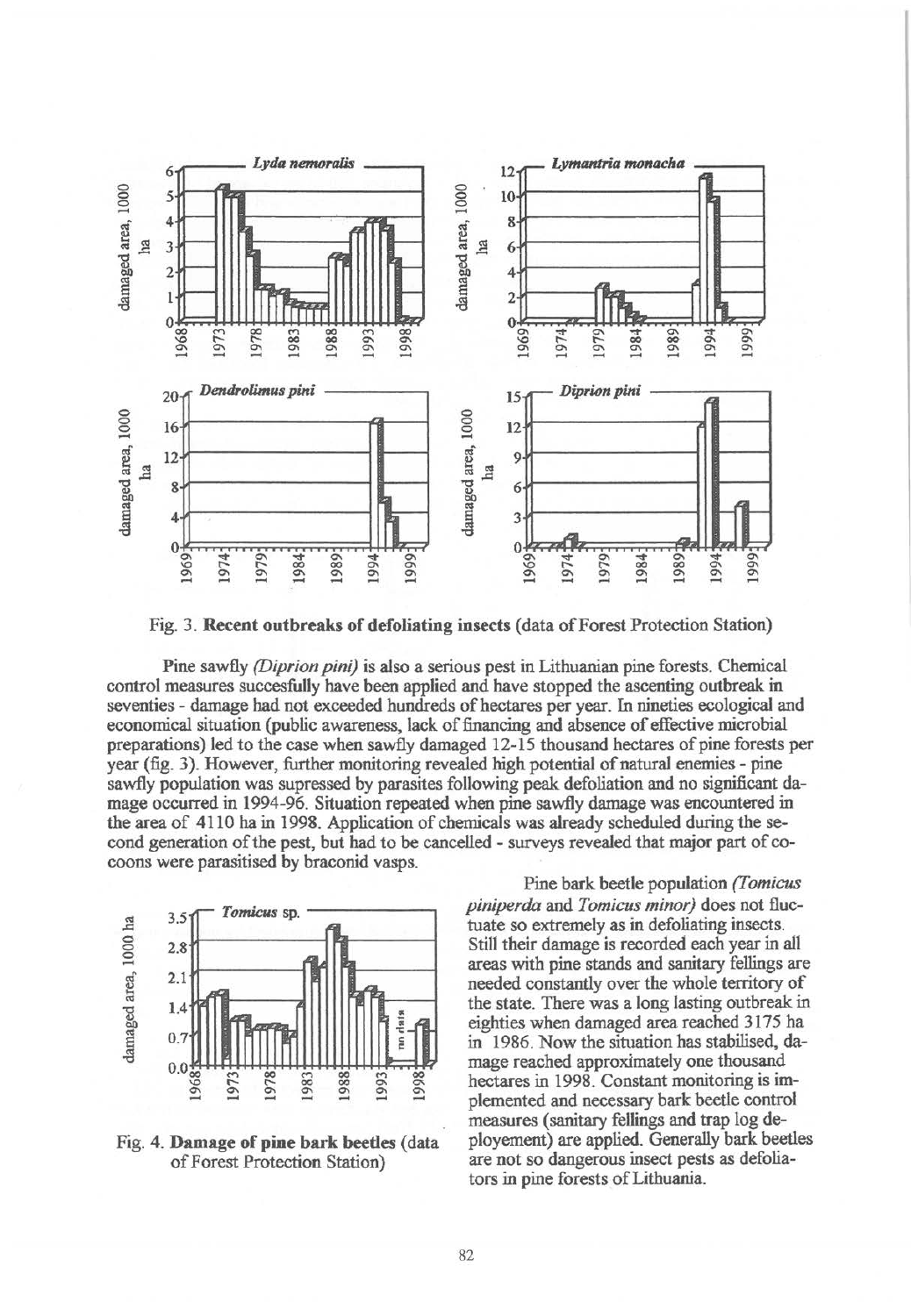

Fig. 3. Recent outbreaks of defoliating insects (data of Forest Protection Station)

Pine sawfly *(Diprion pini)* is also a serious pest in Lithuanian pine forests. Chemical control measures succesfully have been applied and have stopped the ascenting outbreak in seventies - damage had not exceeded hundreds of hectares per year. In nineties ecological and economical situation (public awareness, lack of financing and absence of effective microbial preparations) led to the case when sawfly damaged 12-15 thousand hectares of pine forests per year (fig. 3). However, further monitoring revealed high potential of natural enemies - pine sawfly population was supressed by parasites following peak defoliation and no significant damage occurred in 1994-96. Situation repeated when pine sawfly damage was encountered in the area of 4110 ha in 1998. Application of chemicals was already scheduled during the second generation of the pest, but had to be cancelled - surveys revealed that major part of cocoons were parasitised by braconid vasps.



Fig. 4. Damage of pine bark beetles (data of Forest Protection Station)

Pine bark beetle population *(I omicus piniperda* and *Tomicus minor)* does not fluctuate so extremely as in defoliating insects. Still their damage is recorded each year in all areas with pine stands and sanitary fellings are needed constantly over the whole territory of the state. There was a long lasting outbreak in eighties when damaged area reached 3175 ha in 1986. Now the situation has stabilised, damage reached approximately one thousand hectares in 1998. Constant monitoring is implemented and necessary bark beetle control measures (sanitary fellings and trap log deployement) are applied. Generally bark beetles are not so dangerous insect pests as defoliators in pine forests of Lithuania.